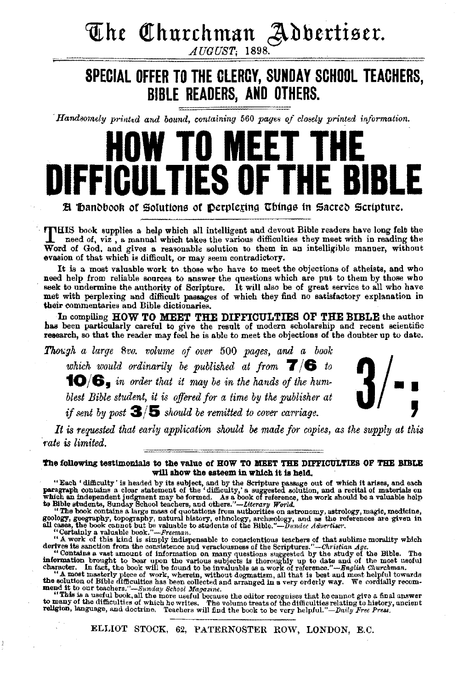## *The Churchman Adbertiser.*

AUGUST, 1898.

## **SPECIAL OFFER TO THE GLERCY, SUNDAY SCHOOL TEACHERS, BIBLE READERS, AND OTHERS.**

*Handsomely printed and bound, containing 560 pages of closely printed information.* 

# **HOW TO MEET THE PIII TIFS OF**

**H** Bandbook of Solutions of Derplexing Things in Sacred Scripture.

THIS book supplies a help which all intelligent and devout Bible readers have long felt the<br>need of viz a manual which takes it need of, viz , a manual which takes the various difficulties they meet with in reading the Word of God, and gives a reasonable solution to them in an intelligible manner, without evasion of that which is difficult, or may seem contradictory.

It is a most valuable work to those who have to meet the objections of atheists, and who need help from reliable sources to answer the questions which are put to them by those who seek to undermine the authority of Scripture. It will also be of great service to all who have met with perplexing and difficult passages of which they find no satisfactory explanation in their commentaries and Bible dictionaries.

In compiling HOW TO MEET THE DIFFICULTIES OF THE BIBLE the author has been particularly careful to give the result of modern scholarship and recent scientific research, so that the reader may feel be is able to meet the objections of the doubter up to date.

*Tlw!;3h a large Svo. volume of over* 500 *pages, and a book which would ordinarily be published at from*  $\overline{T}/\overline{B}$  *to*  $\overline{B}$ <br>which would ordinarily be published at from  $\overline{T}/\overline{B}$  to  $\overline{B}$   $\overline{B}$   $\overline{B}$   $\overline{B}$   $\overline{B}$   $\overline{B}$   $\overline{B}$   $\overline{B}$   $\overline{B}$   $\overline{B}$ which would ordinarily be published at from  $\mathbf{T}/\mathbf{G}$  to  $\mathbf{10}/\mathbf{G}$  in order that it may be in the hands of the hum*blest Bible student, it is offered for a time by the publisher at* ' *if sent by post*  $3/5$  *should be remitted to cover carriage.* 



It is requested that early application should be made for copies, as the supply at this *mte is limited.* 

The following testimonials to the value of HOW TO MEET THE DIFFICULTIES OF THE BIBLE will show the esteem in which it is held.

"Each 'difficulty' is headed by its subject, and by the Scripture passage out of which it arises, and each paragraph contains a clear statement of the 'difficulty,' a suggested solution, and a recital of materials on whic

"Certainly a valuable book."—*Freeman*.<br>"A work of this kind is simply indispensable to conscientious teachers of that sublime morality which<br>derives its sanction from the consistence and veraciousness of the Scriptures."

the solution of Bible difficulties has been collected and arranged in a very orderly way. We cordially recom- mend it to our teachers."-81mday *School Magazine.* 

"This is a useful book, all the more useful because the editor recognises that he cannot give a final answer<br>to meany of the difficulties of which he writes. The volume treats of the difficulties relating to history, anci

ELLIOT STOCK, 62, PATERNOSTER ROW, LONDON, E.C.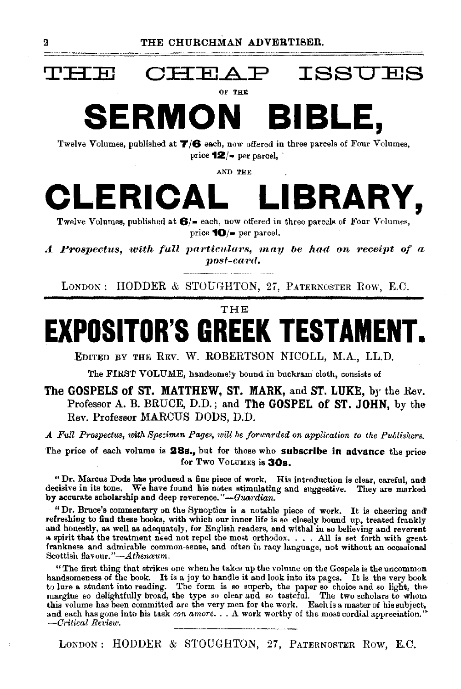

## $\tt\tt H\atop$  CHEAP ISSUES

OF THE

**SERMON BIBLE,** 

Twelve Volumes, published at **T/6** each, now offered in three parcels of Four Volumes, price **12**/- per parcel,

AND THE



Twelve Volumes, published at **6/•** each, now offered in three parcels of Four Volumes, price **10/•** per parcel.

*A Prospectus, with full particulars, may be had on receipt of a post -ca'rt1.* 

LONDON: HODDER & STOUGHTON, 27, PATERNOSTER ROW, E.C.

THE

# **EXPOSITOR'S GREEK TESTAMENT.**

EDITED BY THE REV. w. ROBERTSON NICOLL, M.A., LL.D.

The FIRST VOLUME, handsomely bound in buckram cloth, consists of

#### **The GOSPELS of ST. MATTHEW,** ST. **MARK,** and **ST. LUKE,** by the Rev. Professor A. B. BRUCE, D.D.; and **The GOSPEL of ST. JOHN,** by the Rev. Professor MARCUS DODS, D.D.

*A Full Prospectus, with Specimen Pages, will be forwarded on application to the Publishers.* 

The price of each volume is 28s., but for those who subscribe in advance the price for Two VoLUMES is **30s.** 

"Dr. Marcus Dods has produced a fine piece of work. His introduction is clear, careful, and decisive in its tone. We have found his notes stimulating and suggestive. They are marked by accurate scholarship and deep reverence."-Guardian.

"Dr. Bruce's commentary on the Synoptics is a notable piece of work. It is cheering and! refreshing to find these books, with which our inner life is so closely bound up, treated frankly and honestly, as well as adequately, for English readers, and withal in so believing and reverent a spirit that the treatment need not repel the most orthodox. . . . All is set forth with great frankness and admirable common-sense, and often in racy language, not without an occasional Scottish flavour."-*Athenceum.* 

"The first thing that strikes one when he takes up the volume on the Gospels is the uncommon handsomeness of the book. It is a joy to handle it and look into its pages. It is the very book to lure a student into reading. The form is so superb, the paper so choice and so light, the margins so delightfully broad, the type so clear and so tasteful. The two scholars to whom this volume has been committed are the and each has gone into his task *con amore .* .. A work worthy of the most cordial appreciation.'' --Critical Review.

LONDON: HODDER & STOUGHTON, 27, PATERNOSTER ROW, E.C.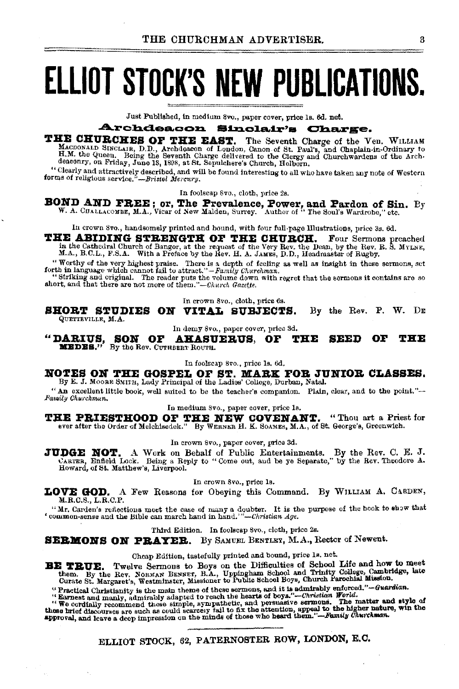# **ELLIOT STOCK'S NEW PUBLICATIONS.**

Just Published, in medium 8vo., paper cover, price 1s. 6d. net.

#### **Archdeacon** Sinclair's Charge.

### THE CHURCHES OF THE EAST. The Seventh Charge of the Ven. WILLIAM

MACDONALD SINCLAIR, D.D., Archdeacon of London, Ganon of St. Paul's, and Chaplain-in-Ordinary to H.M. the Queen. Being the Seventh Charge delivered to the Clergy and Chaplain-in-Ordinary to deaconry, on Friday, June 18, 18

"Clearly and attractively described, and will be found interesting to all who have taken any note of Western forms of religious service."-Bristol Mercury.

In foolscap 8vo., cloth, price 2s.

**BOND AND FREE; or, The Prevalence, Power, and Pardon of Sin.** By W. A. CHALLACOMBE, M.A., Vicar of New Malden, Surrey. Author of "The Soul's Wardrobe," etc.

In crown 8vo., handsomely printed and hound, with four full-page Illustrations, price 3s. 6d.

THE ABIDING STRENGTH OF THE CHURCH. Four Services of the Cathedral Church of Bangor, at the request of the Very Rev. the Dean, by the Rev. R. S. MYLNE, M.A., B.C.L., F.S.A. With a Preface by the Rev. H. A. JAMES, D.D., Hea

"Worthy of the very highest praise. There is a depth of feeling as well as insight in these sermons, set forth in language which cannot fail to attract."-Family Churchman.

"Striking and original. The reader puts the volume down with regret that the sermons it contains are so short, and that there are not more of them."—Church Gazette.

In crown 8vo., cloth, price 6s.

SHORT STUDIES ON VITAL SUBJECTS. By the Rev. P. W. DE QUETTEVILLE, M.A.

In demy 8vo., paper cover, price 3d.

"DARIUS, SON OF AHASUNEDES." By the Rev. CUTREERT ROUTH. **SEED AHASUERUS, OF THE** OF THE

In foolscap 8vo., price 1s. 6d.

NOTES ON THE GOSPEL OF ST. MARK FOR JUNIOR CLASSES. By E. J. MOORE SMITH, Lady Principal of the Ladies' College, Durban, Natal.

"An excellent little book, well suited to be the teacher's companion. Plain, clear, and to the point."-Family Churchman.

In medium 8vo., paper cover, price 1s.

THE PRIESTHOOD OF THE NEW COVENANT. "Thou art a Priest for ever after the Order of Melchisedek." By WERNER H. K. SOAMES, M.A., of St. George's, Greenwich.

In crown 8vo., paper cover, price 3d.

JUDGE NOT. A Work on Behalf of Public Entertainments. By the Rev. C. E. J. CARTER, Enfield Lock. Being a Reply to "Come out, and be ye Separate," by the Rev. Theodore A. Howard, of St. Matthew's, Liverpool.

In crown 8vo., price 1s.

LOVE GOD. A Few Reasons for Obeying this Command. By WILLIAM A, CABDEN, M.R.C.S., L.R.C.P.

"Mr. Carden's reflections meet the case of many a doubter. It is the purpose of the book to show that 'common-sense and the Bible can march hand in hand." - Christian Age.

Third Edition. In foolscap 8vo., cloth, price 2s.

**SERMONS ON PRAYER.** By SAMUEL BENTLEY, M.A., Rector of Newent.

#### Cheap Edition, tastefully printed and bound, price 1s. net.

Twelve Sermons to Boys on the Difficulties of School Life and how to meet BE TRUE. 

Concours margaret s, we<br>summater, messuater to a time source and it is admirably enforced."—Guardian,<br>"Racical Christianity is the main theme of these sermons, and it is admirably enforced."—Guardian.<br>"Racmest and manly,

ELLIOT STOCK, 62, PATERNOSTER ROW, LONDON, E.C.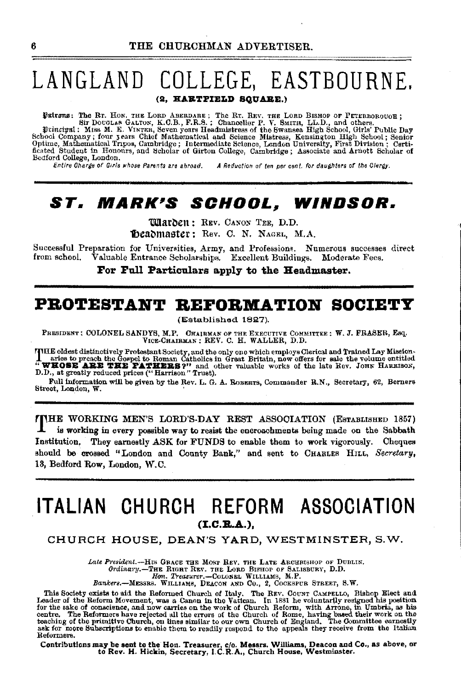## LANGLAND COLLEGE, EASTBOURNE. (2. HARTPIELD SOUARE.)

Patrons: The Rr. Hos. THE LORD ABERDARE; The Rr. REV. THE LORD BISHOP OF PETERBOROUGH; Sir DOUGLAS GALTON, K.G.B., F.R.S.; Chancellor P. V. SMITH, LL.D., and others.<br>
Puincipal: MISS M. E. VINTER, Seven years Headmistress Bedford College, London.

Entire Charge of Girls whose Parents are abroad. A Reduction of ten per cent. for daughters of the Clergy.

## ST. MARK'S SCHOOL, WINDSOR.

**Warben: REV. CANON TEE, D.D.** Deadmaster: Rev. C. N. NAGEL, M.A.

Successful Preparation for Universities, Army, and Professions. Numerous successes direct from school. Valuable Entrance Scholarships. Excellent Buildings. Moderate Fees.

For Full Particulars apply to the Headmaster.

### PROTESTANT REFORMATION SOCIETY

(Established 1827).

PRESIDENT: COLONEL SANDYS, M.P. CHAIRMAN OF THE EXECUTIVE COMMITTEE: W.J. FRASER, Esq. VICE-CHAIRMAN: REV. C. H. WALLER, D.D.

FIHE oldest distinctively Protestant Society, and the only one which employs Clerical and Trained Lay Mission-<br>  $\begin{array}{c}\n\blacksquare\text{~~as} & \blacksquare\text{~~as} & \blacksquare\end{array}$  and the Gospel to Roman Catholics in Great Britain, now offers for

Full information will be given by the Rev. L. G. A. ROBERTS, Commander R.N., Secretary, 62, Berners Street, London, W.

**TIME WORKING MEN'S LORD'S-DAY REST ASSOCIATION (ESTABLISHED 1857)** is working in every possible way to resist the encroachments being made on the Sabbath Institution. They earnestly ASK for FUNDS to enable them to work vigorously. Cheques should be crossed "London and County Bank," and sent to CHARLES HILL, Secretary, 13, Bedford Row, London, W.C.

### ITALIAN CHURCH REFORM ASSOCIATION  $(I.C.B.A.).$

#### CHURCH HOUSE, DEAN'S YARD, WESTMINSTER, S.W.

Late President.--HIS GRACE THE MOST REV. THE LATE ARCHBISHOP OF DUBLIN. Ordinary.-THE RIGHT REV. THE LORD BISHOP OF SALISBURY, D.D.<br>Hon. Treasurer.--COLONEL WILLIAMS, M.P.

Bankers.-MESSRS. WILLIAMS, DEACON AND CO., 2, COCKSPUR STREET, S.W.

This Society exists to aid the Reformed Church of Italy. The REV. Country CAMPELLO, Bishop Elect and Leader of the Reform Movement, was a Canon in the Vattean. In 1881 he voluntarily resigned his position for the sake of c Reformers.

Contributions may be sent to the Hon. Treasurer, c/o. Messrs. Williams, Deacon and Co., as above, or<br>to Rev. H. Hickin, Secretary, I.C.R.A., Church House, Westminster.

ß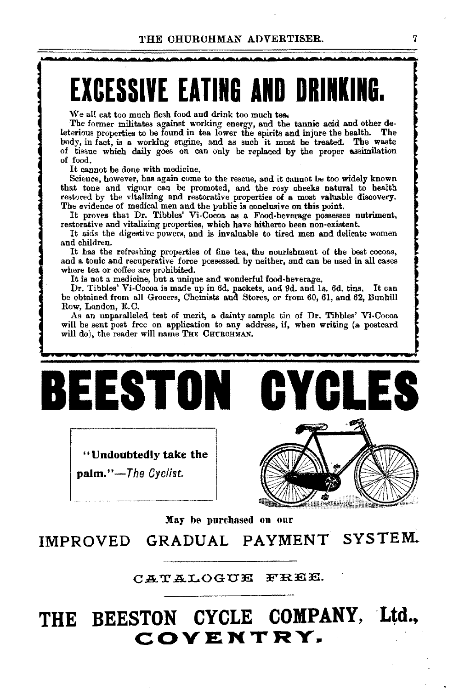·~·-·~·-·~·~·~·-·-·~·~·-·~·-·~·~·-·-·~·~·~·-·~·-·~·-·-·

# **EXCESSIVE EATING AND DRINKING.**

We all eat too much flesh food and drink too much tea.

The former militates against working energy, and the tannic acid and other deleterious properties to be found in tea lower the spirits and injure the health. The body, in fact, is a working engine, and as such it must be treated. The waste of tissue which daily goes on can only be replaced by the proper assimilation of food.

It cannot be done with medicine.

Science, however, has again come to the rescue, and it cannot be too widely known that tone and vigour can be promoted, and the rosy cheeks natural to health restored by the vitalizing and restorative properties of a most valuable discovery. The evidence of medical men and the public is conclusive on this point.

It proves that Dr. Tibbles' Vi-Cocoa as a Food-beverage possesses nutriment, restorative and vitalizing properties, which have hitherto been non-existent.

It aids the digestive powers, and is invaluable to tired men and delicate women and children.

It has the refreshing properties of fine tea, the nourishment of the best cocoas, and a tonic and recuperative force possessed by neither, and can be used in all cases where tea or coffee are prohibited.

It is not a medicine, but a unique and wonderful food-beverage.

Dr. Tibbles' Vi-Cocoa is made up in 6d. packets, and 9d. and ls. 6d. tins. It can be obtained from all Grocers, Chemists and Stores, or from 60, 61, and 62, Bunhill Row, London, E.C.

As an unparalleled test of merit, a dainty sample tin of Dr. Tibbles' Vi-Cocoa will be sent post free on application to any address, if, when writing (a postcard will do), the reader will name THE CHURCHMAN.



"Undoubtedly take the palm."-The *Cyclist.* 



May be purchased on our

IMPROVED GRADUAL PAYMENT SYSTEM.

CATALOGUE FREE.

## **THE BEESTON CYCLE COMPANY, ·Ltd., COVENTRY.**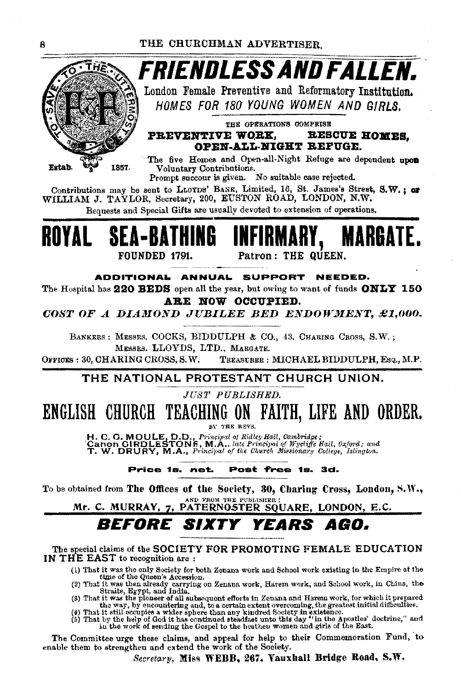

FRIENDLESS AND FALLEN.

London Female Preventive and Reformatory Institution. HOMES FOR 180 YOUNG WOMEN AND GIRLS.

THE OPERATIONS COMPRISE RESCUE HOMES. PREVENTIVE WORK.

OPEN-ALL-NIGHT REFUGE.

The five Homes and Open-all-Night Refuge are dependent upon Voluntary Contributions.

Prompt succour is given. No suitable case rejected.

Contributions may be sent to LLOYDS' BANK, Limited, 16, St. James's Street, S.W.: or WILLIAM J. TAYLOR, Secretary, 200, EUSTON ROAD, LONDON, N.W.

Bequests and Special Gifts are usually devoted to extension of operations.



ADDITIONAL ANNUAL SUPPORT NEEDED.

The Hospital has 220 BEDS open all the year, but owing to want of funds  $ONLT$  150 ARE NOW OCCUPIED.

COST OF A DIAMOND JUBILEE BED ENDOWMENT, £1,000.

BANKERS : MESSRS. COCKS, BIDDULPH & CO., 43, CHARING CROSS, S.W.; MESSRS, LLOYDS, LTD., MARGATE.

OFFICES: 30. CHARING CROSS. S.W. TREASURER: MICHAEL BIDDULPH, ESQ., M.P.

#### THE NATIONAL PROTESTANT CHURCH UNION.

JUST PUBLISHED.

#### ENGLISH CHURCH TEACHING ON FAITH, LIFE AND ORDER.

BY THE REVS.

H. C. G. MOULE, D.D., Principal of Ridley Hall, Cambridge;<br>Canon GIRDLESTONE, M.A.. late Principal of Wycliffe Hall, Oxford; and<br>T. W. DRURY, M.A., Principal of the Church Missionary College, Islington.

Price 1s. net. Post free 1s. 3d.

To be obtained from The Offices of the Society, 30, Charing Cross, London, S.W., AND FROM THE PUBLISHER

Mr. C. MURRAY, 7, PATERNOSTER SQUARE, LONDON, E.C.

#### **REFORE SIXTY** YEARS AGO.

The special claims of the SOCIETY FOR PROMOTING FEMALE EDUCATION IN THE EAST to recognition are :

- (1) That it was the only Society for both Zenana work and School work existing in the Empire at the
- 
- (1) That it was the only Society for both Zonana work and Senoot work existing in the campus at the due of the Queen's Accession.<br>
(2) That it was then already carrying on Zenana work, Harem work, and School work, in Chin
- 

The Committee urge these claims, and appeal for help to their Commemoration Fund, to enable them to strengthen and extend the work of the Society.

Secretary, Miss WEBB, 267. Vauxhall Bridge Road, S.W.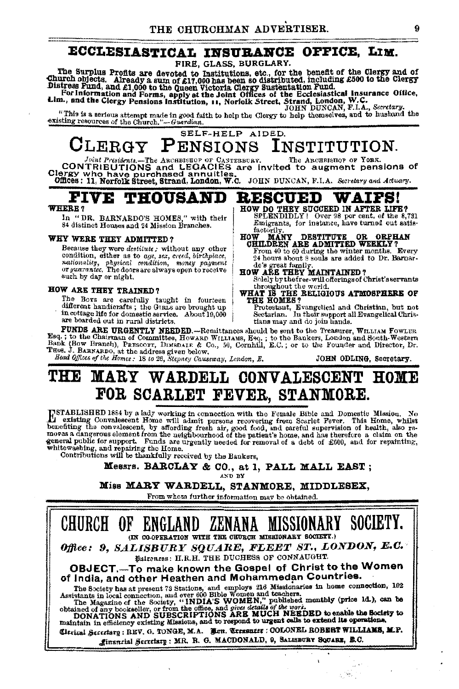#### ECCLESIASTICAL INSURANCE OFFICE, LIM.

#### FIRE. GLASS. BURGLARY.

The Surplus Profits are devoted to Institutions, etc., for the benefit of the Clergy and of<br>Church objects. Already a sum of £17,000 has been so distributed, including £500 to the Clergy<br>Distress Fund, and £1,000 to the Qu

"This is a serious attempt made in good faith to help the Clergy to help thomselves, and to husband the existing resources of the Church."-Guardian.

#### SELF-HELP AIDED. CLERGY PENSIONS INSTITUTION.

Joint Presidents.—The ARCEBISTOP OF CANTERBORY. The ARCEBISTOP OF YORK.<br>CIONTRIBUTIONS and LEGACIES are invited to augment pensions of<br>Clergy who have purchased annuities.<br>Offices: 11, Norfolk Street, Strand, London, W.C.

#### **FIVE THOUSAND RESCUED WAIFS!**

#### WHERE?

In "DR. BARNARDO'S HOMES," with their 84 distinct Houses and 24 Mission Branches.

#### WHY WERE THEY ADMITTED?

Because they were *destitute*; without any other condition, either as to age, sex, creed, birthplace, nationality, physical condition, money payment<br>or guarantee. The doors are always open to receive such by day or night.

#### HOW ARE THEY TRAINED?

The Boys are carefully taught in fourteen<br>different handierafts; the Guas are brought up in cottage life for domestic service. About 19,000 are boarded out in rural districts.

HOW DO THEY SUCCEED IN AFTER LIFE?<br>SPLENDIDLY! Over 98 per cent. of the 8,731 Emigrants, for instance, have turned out satisfactorily OW MANY DESTITUTE OR ORPH<br>CHILDREN ARE ADMITTED WEEKLY? **HOW ORPHAN** 

From 40 to 60 during the winter months. Every 24 hours about 8 souls are added to Dr. Barnardo's great family.

HOW ARE THEY MAINTAINED?<br>Solely by the free-will offerings of Christ's servants throughout the world.<br>WHAT IS THE RELIGIOUS ATMOSPHERE OF

THE HOMES?

Protestant, Evangelical and Christian, but not<br>Sectarian. In their support all Evangelical Christians may and do join hands.

FUNDS ARE URGENTLY NEEDED.-Remittances should be sent to the Treasurer, WILLIAM FOWLER Esq.; to the Chairman of Committee, Howard Wittians, Esq.; to the Bankers, London and South-Western<br>Bank (Bow Branch), Prescort, Dimenaur & Co., 50, Cornhill, E.C.; or to the Founder and Director, Dr. THOS. J. BARNARDO, at the address given below.

Head Offices of the Homes: 18 to 26, Stepney Causeway, London, E.

JOHN ODLING, Secretary.

#### MARY WARDELL CONVALESCENT HOME TV 100 FOR SCARLET FEVER, STANMORE.

INSTABLISHED 1884 by a lady working in connection with the Female Bible and Domestic Mission. No<br>densiting Convalescent Home will admit persons recovering from Scarlet Fever. This Home, whilst<br>neediting the convalescent, b

Messrs. BARCLAY & CO., at 1, PALL MALL EAST; AND BY

Miss MARY WARDELL, STANMORE, MIDDLESEX,

From wheta further information may be obtained.

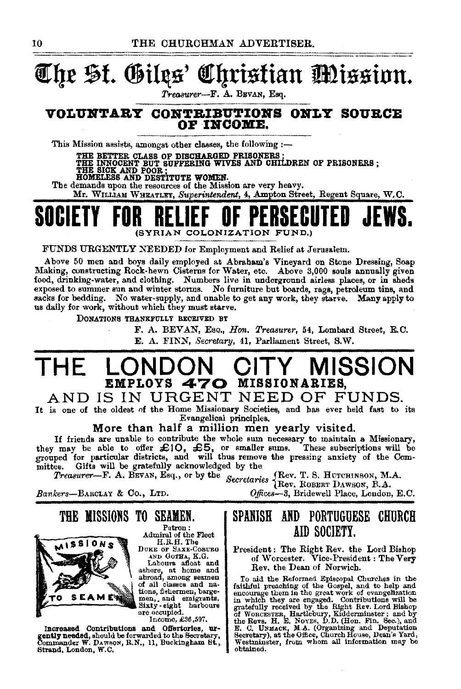## **The St. Gilgs' Ohristian Mission.**

*Trea8VR'er-F.* A. BBVAN, Esq.

#### **VOLUlf'l'Alt Y COll'l'ltiBU'l'IOlfS OJILY SOUBCB OF INCOME.**

This Mission assists, amongst other classes, the following  $:$ --

THE BETTER CLASS OF DISCHARGED PRISONERS ;<br>THE INNOCENT BUT SUFFERING WIVES AND CHILDREN OF PRISONERS ;<br>THE SICK AND POOR ;<br>HOMELESS AND DESTITUTE WOMEN.

The demands upon the resources of the Mission are very heavy.

Mr. WILLIAM WHEATLEY, Superintendent, 4, Ampton Street, Regent Square, W.C.

## **SOCIETY** (SYRIAN COLONIZATION FUND.)

FUNDS URGENTLY NEEDED for Employment and Relief at Jerusalem.

Above 50 men and boys daily employed at Abraham's Vineyard on Stone Dressing, Soap Making, oonstructing Rock-hewn Cisterns for Water, etc. Above 3,000 souls annually given food, drinking-water, and clothing. Numbers live in underground airless places, or in sheds exposed to summer sun and winter storms. No furniture but boards, rags, petroleum tins, and sacks for bedding. No water-supply, and unable to get any work, they starve. Many apply to us daily for work, without which they must starve.

DONATioNS THANKFULLY BEOEIVBD BY

F. A. BEVAN, Eso., *Hon. Treasurer,* 54, Lombard Street, E.C. E. A. FINN, *Secretary,* 41, Parliament Street, S.W.

## **THE LONDON CITY MISSION EMPLOYS 470 MISSIONARIES,**

AND IS IN URGENT NEED OF FUNDS.

It is one of the oldest of the Home Missionary Societies, and bas ever held fast to its Evangelical principles.

More than half a million men yearly visited.

If friends are unable to contribute the whole sum necessary to maintain a Missionary, It irients are unable to contentiute the will be the subscriptions will be they may be able to offer  $\pm$ 10,  $\pm$ 5, or smaller sums. These subscriptions will be grouped for particular districts, and will thus remove the pr mittee. Gifts will be gratefully acknowledged by the

*Treasurer*—F. A. BEVAN, Esq., or by the *Secretaries* (Rev. T. S. HUTCHINSON, M.A. *Rev. ROBERT DAWSON*, B.A.

*Bankers-BARCLAY* & Co., LTD. *Ojfices-3,* Bridewell Place, London, E.C.

THE MISSIONS TO SEAMEN.<br>
Admiral of the Fleet<br>
ALSSIONS
DUKE OF SAXE-COBURG



AND GOTHA, K.G.

Labours afloat and ashore, at home and abroad, among seamen and of all classes and na-<br>tions, fishermen, barge-men, ... Sixty· eight harbours are occupied.

Income, £36,597.

Increased Contributions and Offertortes, urgently needed, should be forwarded to the Secretary, Commander W. DAWSON, R.N., 11, Buckingham St., Strand, London, W.C.

### SPANISH AND PORTUGUESE CHURCH AID SOCIETY.

President: The Right Rev. the Lord Bishop of \Vorcester. Vice-President : The Very Rev. the Dean of Norwich.

To aid the Reformed Epiacopal Churches in the faithful preaching of the Gospel, and to help and encourage them in the great work of evangelazion in which they are engaged. Contributions will be gratefully received by the Right Rev. Lord Bishop of WoncESTER, Hartlebury Secretary), at the Office, Church House, Dean's Yard, Westminster, from whom all information may be obtained.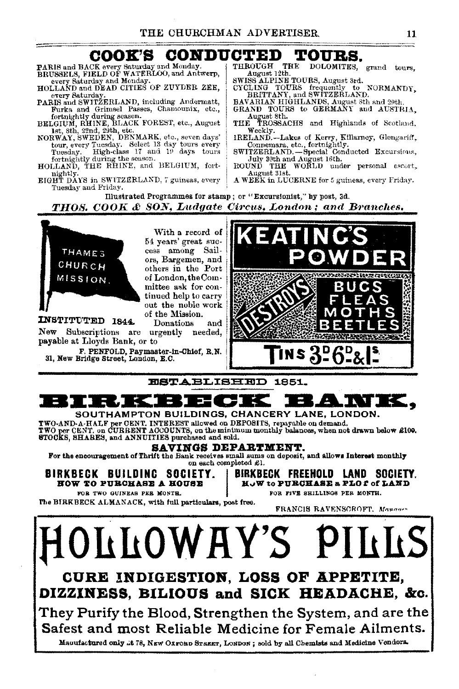#### COOK'S **CONDUCTED** TOURS.

PARIS and BACK every Saturday and Monday.<br>BRUSSELS, FIELD OF WATERLOO, and Antwerp,

every Saturday and Monday.<br>HOLLAND and DEAD CITIES OF ZUYDER ZEE, every Saturday

PARIS and SWITZERLAND, including Andermatt, Furka and Grimel Passes, Channounix, etc., forthightly during season.<br>BELGIUM, RHINE, BLACK FOREST, etc., August

let, 8th, 22nd, 29th, etc.<br>NORWAY, SWEDEN, DENMARK, etc., seven days'

- tour, every Tuesday. Select 18 day tours every Tuesday. High-class 17 and 19 days tours fortnightly during the season.<br>HOLLAND, THE RHINE, and BELGIUM, fort-
- nightly.

EIGHT DAYS in SWITZERLAND, 7 guineas, every Tuesday and Friday.

THE DOLOMITES, grand tours, **THROUGH** August 12th.

SWISS ALPINE TOURS, August 3rd. CYCLING TOURS frequently to NORMANDY, BRITTANY, and SWITZERLAND.<br>BRITTANY, and SWITZERLANDS, August Sth and 29th, GRAND TOURS to GERMANY and AUSTRIA,

August 8th.<br>THE TROSSACHS and Highlands of Scotland.

Weekly.<br>IRELAND.-Lakes of Kerry, Killarney, Glengariff, Connemara, etc., fortnightly.<br>SWITZERLAND. - Special Conducted Excursions,

July 30th and August 16th.<br>ROUND THE WORLD under personal escort,

August 31st.

A WEEK in LUCERNE for 5 guineas, every Friday.

Illustrated Programmes for stamp; or "Excursionist," by post, 3d. **THOS. COOK & SON, Ludgate Circus, London; and Branches.** 



With a record of 54 years' great success among Sailors, Bargemen, and others in the Port of London, the Committee ask for continued help to carry out the noble work of the Mission.

INSTITUTED 1844. Donations and New Subscriptions are urgently needed, payable at Lloyds Bank, or to

F. PENFOLD, Paymaster-in-Chief, R.N.<br>31. New Bridge Street, London, E.C.



#### **ESTABLISHED 1851.**



They Purify the Blood, Strengthen the System, and are the Safest and most Reliable Medicine for Female Ailments.

Mauufactured only .: t 78, NEW OXFORD STREET, LONDON; sold by all Chemists and Medicine Vendora-